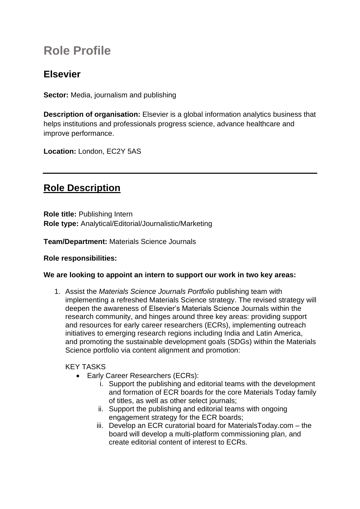# **Role Profile**

## **Elsevier**

**Sector:** Media, journalism and publishing

**Description of organisation:** Elsevier is a global information analytics business that helps institutions and professionals progress science, advance healthcare and improve performance.

**Location:** London, EC2Y 5AS

# **Role Description**

**Role title:** Publishing Intern **Role type:** Analytical/Editorial/Journalistic/Marketing

**Team/Department:** Materials Science Journals

#### **Role responsibilities:**

#### **We are looking to appoint an intern to support our work in two key areas:**

1. Assist the *Materials Science Journals Portfolio* publishing team with implementing a refreshed Materials Science strategy. The revised strategy will deepen the awareness of Elsevier's Materials Science Journals within the research community, and hinges around three key areas: providing support and resources for early career researchers (ECRs), implementing outreach initiatives to emerging research regions including India and Latin America, and promoting the sustainable development goals (SDGs) within the Materials Science portfolio via content alignment and promotion:

### KEY TASKS

- Early Career Researchers (ECRs):
	- i. Support the publishing and editorial teams with the development and formation of ECR boards for the core Materials Today family of titles, as well as other select journals;
	- ii. Support the publishing and editorial teams with ongoing engagement strategy for the ECR boards;
	- iii. Develop an ECR curatorial board for MaterialsToday.com the board will develop a multi-platform commissioning plan, and create editorial content of interest to ECRs.